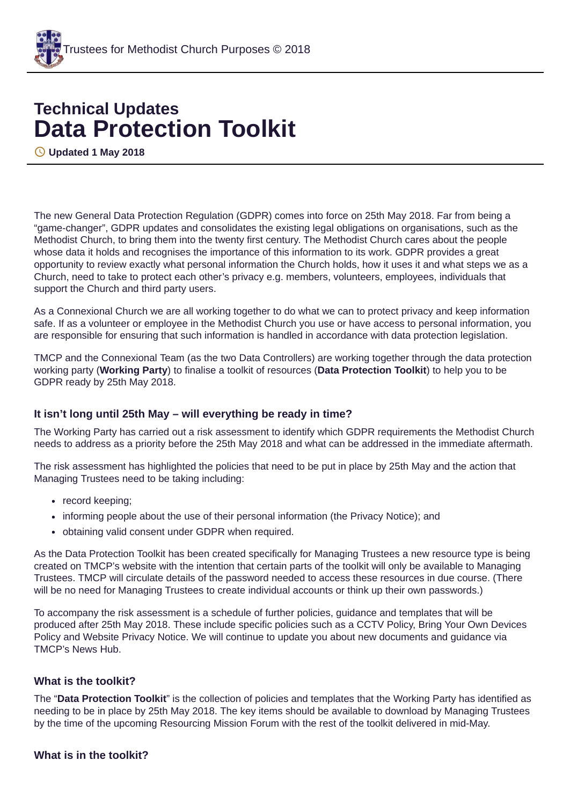

# **Technical Updates Data Protection Toolkit**

**Updated 1 May 2018**

The new General Data Protection Regulation (GDPR) comes into force on 25th May 2018. Far from being a "game-changer", GDPR updates and consolidates the existing legal obligations on organisations, such as the Methodist Church, to bring them into the twenty first century. The Methodist Church cares about the people whose data it holds and recognises the importance of this information to its work. GDPR provides a great opportunity to review exactly what personal information the Church holds, how it uses it and what steps we as a Church, need to take to protect each other's privacy e.g. members, volunteers, employees, individuals that support the Church and third party users.

As a Connexional Church we are all working together to do what we can to protect privacy and keep information safe. If as a volunteer or employee in the Methodist Church you use or have access to personal information, you are responsible for ensuring that such information is handled in accordance with data protection legislation.

TMCP and the Connexional Team (as the two Data Controllers) are working together through the data protection working party (**Working Party**) to finalise a toolkit of resources (**Data Protection Toolkit**) to help you to be GDPR ready by 25th May 2018.

# **It isn't long until 25th May – will everything be ready in time?**

The Working Party has carried out a risk assessment to identify which GDPR requirements the Methodist Church needs to address as a priority before the 25th May 2018 and what can be addressed in the immediate aftermath.

The risk assessment has highlighted the policies that need to be put in place by 25th May and the action that Managing Trustees need to be taking including:

- record keeping;
- informing people about the use of their personal information (the Privacy Notice); and
- obtaining valid consent under GDPR when required.

As the Data Protection Toolkit has been created specifically for Managing Trustees a new resource type is being created on TMCP's website with the intention that certain parts of the toolkit will only be available to Managing Trustees. TMCP will circulate details of the password needed to access these resources in due course. (There will be no need for Managing Trustees to create individual accounts or think up their own passwords.)

To accompany the risk assessment is a schedule of further policies, guidance and templates that will be produced after 25th May 2018. These include specific policies such as a CCTV Policy, Bring Your Own Devices Policy and Website Privacy Notice. We will continue to update you about new documents and guidance via TMCP's News Hub.

#### **What is the toolkit?**

The "**Data Protection Toolkit**" is the collection of policies and templates that the Working Party has identified as needing to be in place by 25th May 2018. The key items should be available to download by Managing Trustees by the time of the upcoming Resourcing Mission Forum with the rest of the toolkit delivered in mid-May.

#### **What is in the toolkit?**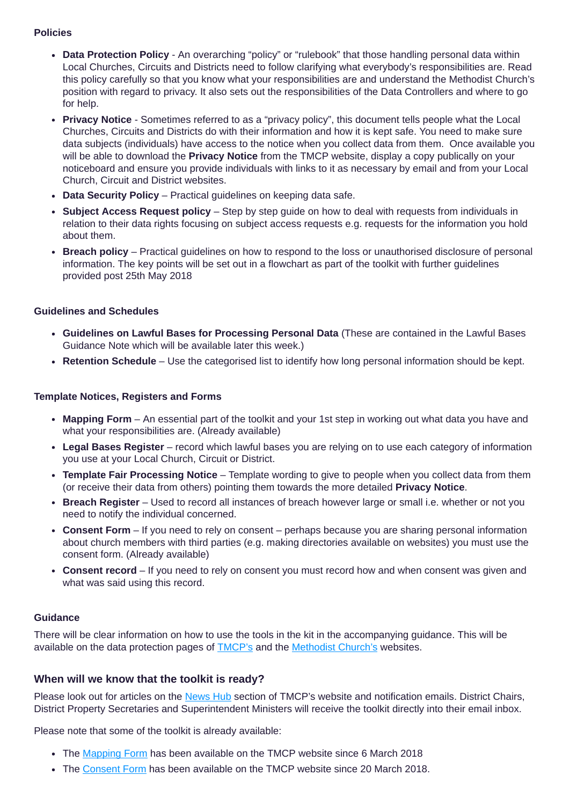#### **Policies**

- **Data Protection Policy** An overarching "policy" or "rulebook" that those handling personal data within Local Churches, Circuits and Districts need to follow clarifying what everybody's responsibilities are. Read this policy carefully so that you know what your responsibilities are and understand the Methodist Church's position with regard to privacy. It also sets out the responsibilities of the Data Controllers and where to go for help.
- **Privacy Notice** Sometimes referred to as a "privacy policy", this document tells people what the Local Churches, Circuits and Districts do with their information and how it is kept safe. You need to make sure data subjects (individuals) have access to the notice when you collect data from them. Once available you will be able to download the **Privacy Notice** from the TMCP website, display a copy publically on your noticeboard and ensure you provide individuals with links to it as necessary by email and from your Local Church, Circuit and District websites.
- **Data Security Policy** Practical guidelines on keeping data safe.
- **Subject Access Request policy** Step by step guide on how to deal with requests from individuals in relation to their data rights focusing on subject access requests e.g. requests for the information you hold about them.
- **Breach policy** Practical guidelines on how to respond to the loss or unauthorised disclosure of personal information. The key points will be set out in a flowchart as part of the toolkit with further guidelines provided post 25th May 2018

# **Guidelines and Schedules**

- **Guidelines on Lawful Bases for Processing Personal Data** (These are contained in the Lawful Bases Guidance Note which will be available later this week.)
- **Retention Schedule** Use the categorised list to identify how long personal information should be kept.

# **Template Notices, Registers and Forms**

- **Mapping Form** An essential part of the toolkit and your 1st step in working out what data you have and what your responsibilities are. (Already available)
- **Legal Bases Register** record which lawful bases you are relying on to use each category of information you use at your Local Church, Circuit or District.
- **Template Fair Processing Notice** Template wording to give to people when you collect data from them (or receive their data from others) pointing them towards the more detailed **Privacy Notice**.
- **Breach Register** Used to record all instances of breach however large or small i.e. whether or not you need to notify the individual concerned.
- **Consent Form** If you need to rely on consent perhaps because you are sharing personal information about church members with third parties (e.g. making directories available on websites) you must use the consent form. (Already available)
- **Consent record** If you need to rely on consent you must record how and when consent was given and what was said using this record.

# **Guidance**

There will be clear information on how to use the tools in the kit in the accompanying guidance. This will be available on the data protection pages of [TMCP's](https://www.tmcp.org.uk/) and the [Methodist](http://www.methodist.org.uk/) Church's websites.

# **When will we know that the toolkit is ready?**

Please look out for articles on the [News](https://www.tmcp.org.uk/news-hub) Hub section of TMCP's website and notification emails. District Chairs, District Property Secretaries and Superintendent Ministers will receive the toolkit directly into their email inbox.

Please note that some of the toolkit is already available:

- The [Mapping](https://www.tmcp.org.uk/about/data-protection/resources/standard-documents-and-forms/data-mapping-form) Form has been available on the TMCP website since 6 March 2018
- The [Consent](https://www.tmcp.org.uk/about/data-protection/resources/standard-documents-and-forms/consent-form) Form has been available on the TMCP website since 20 March 2018.